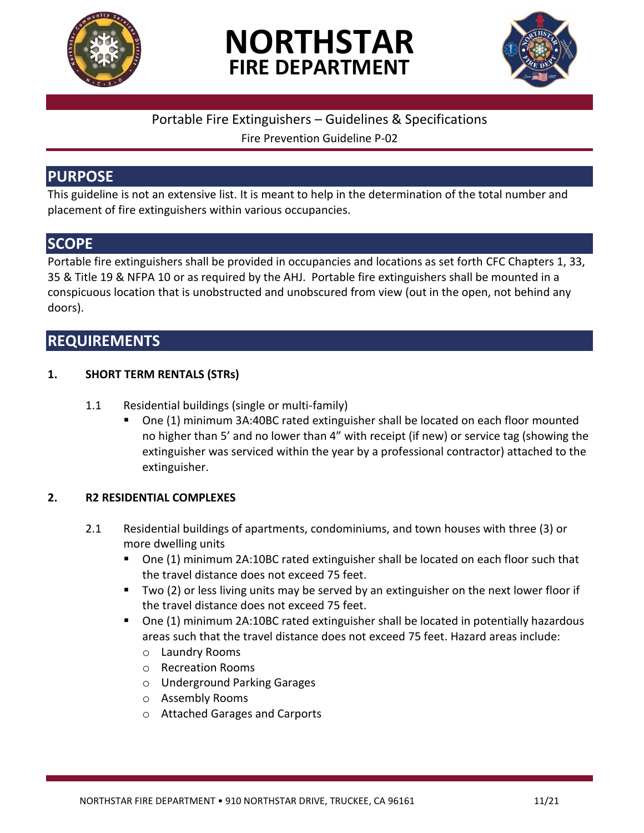

# **NORTHSTAR FIRE DEPARTMENT**



### Portable Fire Extinguishers – Guidelines & Specifications

Fire Prevention Guideline P-02

## **PURPOSE**

This guideline is not an extensive list. It is meant to help in the determination of the total number and placement of fire extinguishers within various occupancies.

## **SCOPE**

Portable fire extinguishers shall be provided in occupancies and locations as set forth CFC Chapters 1, 33, 35 & Title 19 & NFPA 10 or as required by the AHJ. Portable fire extinguishers shall be mounted in a conspicuous location that is unobstructed and unobscured from view (out in the open, not behind any doors).

## **REQUIREMENTS**

#### **1. SHORT TERM RENTALS (STRs)**

- 1.1 Residential buildings (single or multi-family)
	- One (1) minimum 3A:40BC rated extinguisher shall be located on each floor mounted no higher than 5' and no lower than 4" with receipt (if new) or service tag (showing the extinguisher was serviced within the year by a professional contractor) attached to the extinguisher.

#### **2. R2 RESIDENTIAL COMPLEXES**

- 2.1 Residential buildings of apartments, condominiums, and town houses with three (3) or more dwelling units
	- One (1) minimum 2A:10BC rated extinguisher shall be located on each floor such that the travel distance does not exceed 75 feet.
	- Two (2) or less living units may be served by an extinguisher on the next lower floor if the travel distance does not exceed 75 feet.
	- One (1) minimum 2A:10BC rated extinguisher shall be located in potentially hazardous areas such that the travel distance does not exceed 75 feet. Hazard areas include:
		- o Laundry Rooms
		- o Recreation Rooms
		- o Underground Parking Garages
		- o Assembly Rooms
		- o Attached Garages and Carports